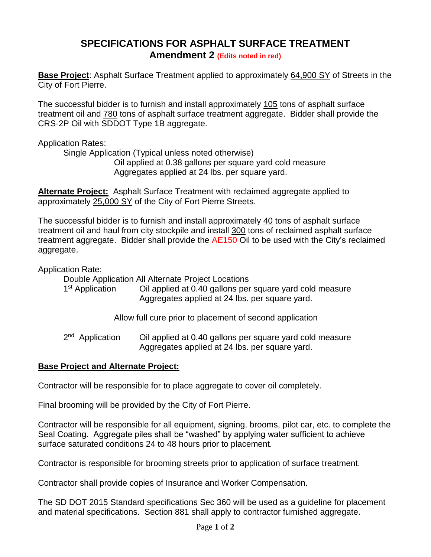## **SPECIFICATIONS FOR ASPHALT SURFACE TREATMENT Amendment 2 (Edits noted in red)**

**Base Project**: Asphalt Surface Treatment applied to approximately 64,900 SY of Streets in the City of Fort Pierre.

The successful bidder is to furnish and install approximately 105 tons of asphalt surface treatment oil and 780 tons of asphalt surface treatment aggregate. Bidder shall provide the CRS-2P Oil with SDDOT Type 1B aggregate.

Application Rates:

Single Application (Typical unless noted otherwise)

Oil applied at 0.38 gallons per square yard cold measure Aggregates applied at 24 lbs. per square yard.

**Alternate Project:** Asphalt Surface Treatment with reclaimed aggregate applied to approximately 25,000 SY of the City of Fort Pierre Streets.

The successful bidder is to furnish and install approximately 40 tons of asphalt surface treatment oil and haul from city stockpile and install 300 tons of reclaimed asphalt surface treatment aggregate. Bidder shall provide the AE150 Oil to be used with the City's reclaimed aggregate.

Application Rate:

Double Application All Alternate Project Locations

| 1 <sup>st</sup> Application | Oil applied at 0.40 gallons per square yard cold measure |
|-----------------------------|----------------------------------------------------------|
|                             | Aggregates applied at 24 lbs. per square yard.           |

Allow full cure prior to placement of second application

2<sup>nd</sup> Application Oil applied at 0.40 gallons per square yard cold measure Aggregates applied at 24 lbs. per square yard.

## **Base Project and Alternate Project:**

Contractor will be responsible for to place aggregate to cover oil completely.

Final brooming will be provided by the City of Fort Pierre.

Contractor will be responsible for all equipment, signing, brooms, pilot car, etc. to complete the Seal Coating. Aggregate piles shall be "washed" by applying water sufficient to achieve surface saturated conditions 24 to 48 hours prior to placement.

Contractor is responsible for brooming streets prior to application of surface treatment.

Contractor shall provide copies of Insurance and Worker Compensation.

The SD DOT 2015 Standard specifications Sec 360 will be used as a guideline for placement and material specifications. Section 881 shall apply to contractor furnished aggregate.